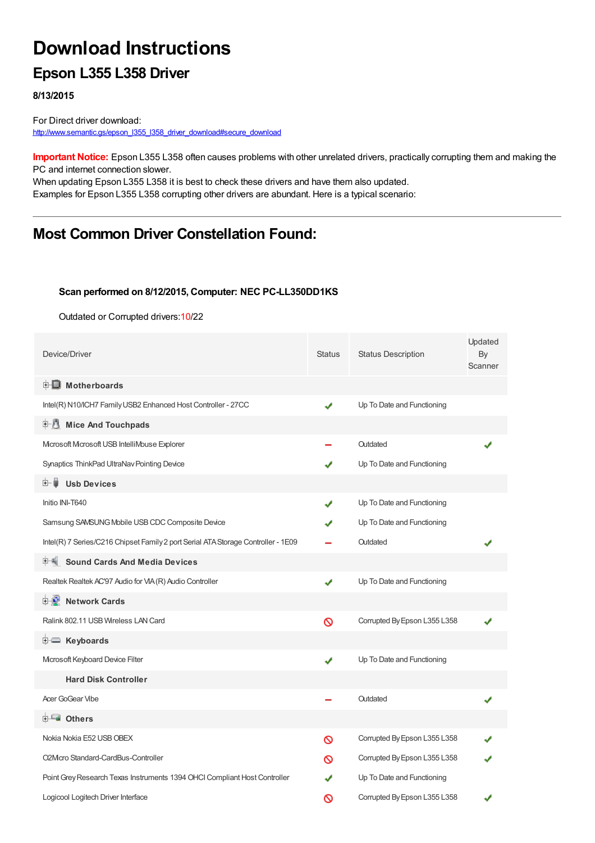# **Download Instructions**

### **Epson L355 L358 Driver**

**8/13/2015**

For Direct driver download: [http://www.semantic.gs/epson\\_l355\\_l358\\_driver\\_download#secure\\_download](http://www.semantic.gs/epson_l355_l358_driver_download#secure_download)

**Important Notice:** Epson L355 L358 often causes problems with other unrelated drivers, practically corrupting them and making the PC and internet connection slower.

When updating Epson L355 L358 it is best to check these drivers and have them also updated. Examples for Epson L355 L358 corrupting other drivers are abundant. Here is a typical scenario:

### **Most Common Driver Constellation Found:**

#### **Scan performed on 8/12/2015, Computer: NEC PC-LL350DD1KS**

Outdated or Corrupted drivers:10/22

| Device/Driver                                                                     | Status   | <b>Status Description</b>    | Updated<br>By<br>Scanner |
|-----------------------------------------------------------------------------------|----------|------------------------------|--------------------------|
| <b>E</b> Motherboards                                                             |          |                              |                          |
| Intel(R) N10/ICH7 Family USB2 Enhanced Host Controller - 27CC                     | ✔        | Up To Date and Functioning   |                          |
| <b>E</b> Mice And Touchpads                                                       |          |                              |                          |
| Microsoft Microsoft USB IntelliMouse Explorer                                     |          | Outdated                     |                          |
| Synaptics ThinkPad UltraNav Pointing Device                                       | J        | Up To Date and Functioning   |                          |
| <b>Usb Devices</b><br>⊞… ∎                                                        |          |                              |                          |
| Initio INI-T640                                                                   | ✔        | Up To Date and Functioning   |                          |
| Samsung SAMSUNG Mobile USB CDC Composite Device                                   |          | Up To Date and Functioning   |                          |
| Intel(R) 7 Series/C216 Chipset Family 2 port Serial ATA Storage Controller - 1E09 |          | Outdated                     |                          |
| <sup>甲-喇</sup> Sound Cards And Media Devices                                      |          |                              |                          |
| Realtek Realtek AC'97 Audio for VIA (R) Audio Controller                          | ✔        | Up To Date and Functioning   |                          |
| <b>E-S</b> Network Cards                                                          |          |                              |                          |
| Ralink 802.11 USB Wireless LAN Card                                               | $\infty$ | Corrupted By Epson L355 L358 |                          |
| <b>⊞ Keyboards</b>                                                                |          |                              |                          |
| Microsoft Keyboard Device Filter                                                  | ✔        | Up To Date and Functioning   |                          |
| <b>Hard Disk Controller</b>                                                       |          |                              |                          |
| Acer GoGear Vibe                                                                  |          | Outdated                     |                          |
| <b>E</b> Others                                                                   |          |                              |                          |
| Nokia Nokia E52 USB OBEX                                                          | Ø        | Corrupted By Epson L355 L358 |                          |
| O <sub>2</sub> M <sub>cro</sub> Standard-CardBus-Controller                       | ര        | Corrupted By Epson L355 L358 |                          |
| Point Grey Research Texas Instruments 1394 OHCI Compliant Host Controller         | ✔        | Up To Date and Functioning   |                          |
| Logicool Logitech Driver Interface                                                | ര        | Corrupted By Epson L355 L358 |                          |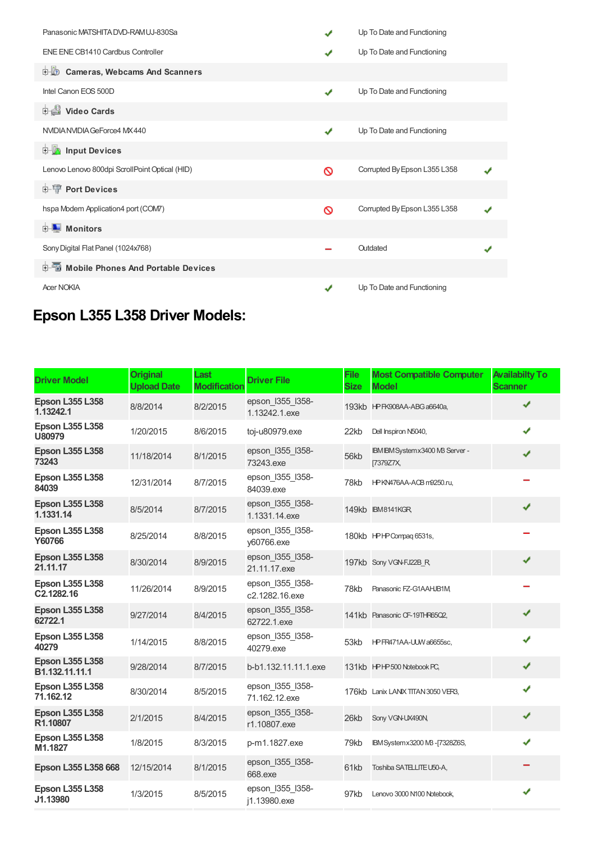| Panasonic MATSHITA DVD-RAM UJ-830Sa            | $\boldsymbol{\mathcal{L}}$ | Up To Date and Functioning   |  |
|------------------------------------------------|----------------------------|------------------------------|--|
| ENE ENE CB1410 Cardbus Controller              | $\mathbf{v}$               | Up To Date and Functioning   |  |
| 中心<br><b>Cameras, Webcams And Scanners</b>     |                            |                              |  |
| Intel Canon EOS 500D                           | ✔                          | Up To Date and Functioning   |  |
| <b>Dideo Cards</b>                             |                            |                              |  |
| NVIDIA NVIDIA GeForce4 MX 440                  | ✔                          | Up To Date and Functioning   |  |
| <b>E</b> Input Devices                         |                            |                              |  |
| Lenovo Lenovo 800dpi ScrollPoint Optical (HID) | ଷ                          | Corrupted By Epson L355 L358 |  |
| <b>E-T</b> Port Devices                        |                            |                              |  |
| hspa Modem Application4 port (COM7)            | ര                          | Corrupted By Epson L355 L358 |  |
| <b>E</b> Monitors                              |                            |                              |  |
| Sony Digital Flat Panel (1024x768)             |                            | Outdated                     |  |
| 电图 Mobile Phones And Portable Devices          |                            |                              |  |
| <b>Acer NOKIA</b>                              | $\mathbf{v}$               | Up To Date and Functioning   |  |

## **Epson L355 L358 Driver Models:**

| <b>Driver Model</b>                      | <b>Original</b><br><b>Upload Date</b> | Last<br><b>Modification</b> | <b>Driver File</b>                 | <b>File</b><br><b>Size</b> | <b>Most Compatible Computer</b><br><b>Model</b> | <b>Availabilty To</b><br><b>Scanner</b> |
|------------------------------------------|---------------------------------------|-----------------------------|------------------------------------|----------------------------|-------------------------------------------------|-----------------------------------------|
| <b>Epson L355 L358</b><br>1.13242.1      | 8/8/2014                              | 8/2/2015                    | epson_l355_l358-<br>1.13242.1.exe  |                            | 193kb HPFK908AA-ABG a6640a,                     | J                                       |
| <b>Epson L355 L358</b><br>U80979         | 1/20/2015                             | 8/6/2015                    | toj-u80979.exe                     | 22kb                       | Dell Inspiron N5040,                            | J                                       |
| <b>Epson L355 L358</b><br>73243          | 11/18/2014                            | 8/1/2015                    | epson 1355 1358-<br>73243.exe      | 56kb                       | IBM IBM System x 3400 MB Server -<br>[7379Z7X,  | ✔                                       |
| <b>Epson L355 L358</b><br>84039          | 12/31/2014                            | 8/7/2015                    | epson 1355 1358-<br>84039.exe      | 78kb                       | HPKN476AA-ACB m9250.ru,                         |                                         |
| <b>Epson L355 L358</b><br>1.1331.14      | 8/5/2014                              | 8/7/2015                    | epson_l355_l358-<br>1.1331.14.exe  |                            | 149kb IBM8141KGR                                | ✔                                       |
| <b>Epson L355 L358</b><br>Y60766         | 8/25/2014                             | 8/8/2015                    | epson_l355_l358-<br>y60766.exe     |                            | 180kb HPHPCompaq 6531s,                         |                                         |
| <b>Epson L355 L358</b><br>21.11.17       | 8/30/2014                             | 8/9/2015                    | epson_l355_l358-<br>21.11.17.exe   |                            | 197kb Sony VGN-FJ22B R                          | ✔                                       |
| <b>Epson L355 L358</b><br>C2.1282.16     | 11/26/2014                            | 8/9/2015                    | epson 1355 1358-<br>c2.1282.16.exe | 78kb                       | Panasonic FZ-G1AAHJB1M                          |                                         |
| <b>Epson L355 L358</b><br>62722.1        | 9/27/2014                             | 8/4/2015                    | epson_l355_l358-<br>62722.1.exe    |                            | 141kb Panasonic CF-19THR65Q2,                   | ✔                                       |
| <b>Epson L355 L358</b><br>40279          | 1/14/2015                             | 8/8/2015                    | epson I355 I358-<br>40279.exe      | 53kb                       | HP FR471AA-UUW a6655sc,                         | J                                       |
| <b>Epson L355 L358</b><br>B1.132.11.11.1 | 9/28/2014                             | 8/7/2015                    | b-b1.132.11.11.1.exe               |                            | 131kb HPHP500 Notebook PC,                      | ✔                                       |
| <b>Epson L355 L358</b><br>71.162.12      | 8/30/2014                             | 8/5/2015                    | epson_1355_1358-<br>71.162.12.exe  |                            | 176kb Lanix LANIX TITAN 3050 VER3,              | ✔                                       |
| <b>Epson L355 L358</b><br>R1.10807       | 2/1/2015                              | 8/4/2015                    | epson 1355 1358-<br>r1.10807.exe   | 26kb                       | Sony VGN-UX490N,                                | ✔                                       |
| <b>Epson L355 L358</b><br>M1.1827        | 1/8/2015                              | 8/3/2015                    | p-m1.1827.exe                      | 79kb                       | IBM System x3200 M3 - [7328Z6S,                 | J                                       |
| Epson L355 L358 668                      | 12/15/2014                            | 8/1/2015                    | epson_l355_l358-<br>668.exe        | 61kb                       | Toshiba SATELLITE U50-A,                        |                                         |
| <b>Epson L355 L358</b><br>J1.13980       | 1/3/2015                              | 8/5/2015                    | epson I355 I358-<br>j1.13980.exe   | 97kb                       | Lenovo 3000 N100 Notebook,                      |                                         |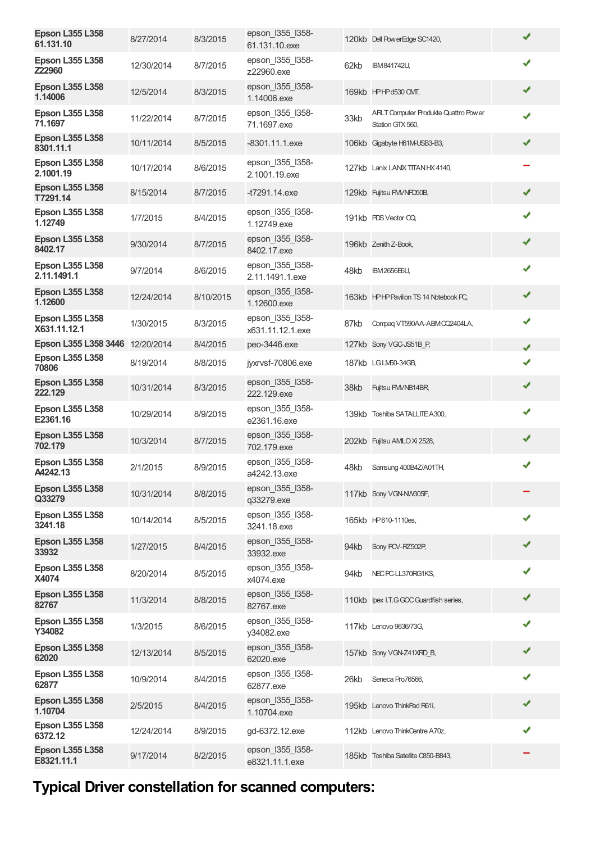| <b>Epson L355 L358</b><br>61.131.10    | 8/27/2014  | 8/3/2015  | epson_l355_l358-<br>61.131.10.exe    |      | 120kb Dell PowerEdge SC1420,                                    |   |
|----------------------------------------|------------|-----------|--------------------------------------|------|-----------------------------------------------------------------|---|
| <b>Epson L355 L358</b><br>Z22960       | 12/30/2014 | 8/7/2015  | epson_l355_l358-<br>z22960.exe       | 62kb | <b>IBM841742U,</b>                                              |   |
| <b>Epson L355 L358</b><br>1.14006      | 12/5/2014  | 8/3/2015  | epson_l355_l358-<br>1.14006.exe      |      | 169kb HPHPd530 CMT,                                             |   |
| <b>Epson L355 L358</b><br>71.1697      | 11/22/2014 | 8/7/2015  | epson_l355_l358-<br>71.1697.exe      | 33kb | <b>ARLT Computer Produkte Quattro Power</b><br>Station GTX 560, | J |
| <b>Epson L355 L358</b><br>8301.11.1    | 10/11/2014 | 8/5/2015  | $-8301.11.1$ .exe                    |      | 106kb Gigabyte H61M-USB3-B3,                                    | ✔ |
| <b>Epson L355 L358</b><br>2.1001.19    | 10/17/2014 | 8/6/2015  | epson_l355_l358-<br>2.1001.19.exe    |      | 127kb Lanix LANIX TITAN HX 4140,                                |   |
| <b>Epson L355 L358</b><br>T7291.14     | 8/15/2014  | 8/7/2015  | -t7291.14.exe                        |      | 129kb Fujitsu FM/NFD50B,                                        | ✔ |
| <b>Epson L355 L358</b><br>1.12749      | 1/7/2015   | 8/4/2015  | epson_l355_l358-<br>1.12749.exe      |      | 191kb PDS Vector CQ,                                            | ✔ |
| <b>Epson L355 L358</b><br>8402.17      | 9/30/2014  | 8/7/2015  | epson_I355_I358-<br>8402.17.exe      |      | 196kb Zenith Z-Book,                                            | ✔ |
| <b>Epson L355 L358</b><br>2.11.1491.1  | 9/7/2014   | 8/6/2015  | epson_l355_l358-<br>2.11.1491.1.exe  | 48kb | <b>IBM2656E6U,</b>                                              |   |
| <b>Epson L355 L358</b><br>1.12600      | 12/24/2014 | 8/10/2015 | epson_l355_l358-<br>1.12600.exe      |      | 163kb HPHP Pavilion TS 14 Notebook PC,                          | ✔ |
| <b>Epson L355 L358</b><br>X631.11.12.1 | 1/30/2015  | 8/3/2015  | epson_l355_l358-<br>x631.11.12.1.exe | 87kb | Compaq VT590AA-ABM CQ2404LA,                                    | ✔ |
| Epson L355 L358 3446                   | 12/20/2014 | 8/4/2015  | peo-3446.exe                         |      | 127kb Sony VGC-JS51B_P,                                         |   |
| <b>Epson L355 L358</b><br>70806        | 8/19/2014  | 8/8/2015  | jyxrvsf-70806.exe                    |      | 187kb LGLM50-34GB,                                              |   |
| <b>Epson L355 L358</b><br>222.129      | 10/31/2014 | 8/3/2015  | epson_l355_l358-<br>222.129.exe      | 38kb | Fujitsu FM/NB14BR,                                              |   |
| <b>Epson L355 L358</b><br>E2361.16     | 10/29/2014 | 8/9/2015  | epson_l355_l358-<br>e2361.16.exe     |      | 139kb Toshiba SATALLITE A300,                                   | J |
| <b>Epson L355 L358</b><br>702.179      | 10/3/2014  | 8/7/2015  | epson_l355_l358-<br>702.179.exe      |      | 202kb Fujitsu AMLO Xi 2528,                                     |   |
| <b>Epson L355 L358</b><br>A4242.13     | 2/1/2015   | 8/9/2015  | epson_l355_l358-<br>a4242.13.exe     | 48kb | Samsung 400B4Z/A01TH,                                           | ✔ |
| <b>Epson L355 L358</b><br>Q33279       | 10/31/2014 | 8/8/2015  | epson_l355_l358-<br>q33279.exe       |      | 117kb Sony VGN-NW305F,                                          |   |
| <b>Epson L355 L358</b><br>3241.18      | 10/14/2014 | 8/5/2015  | epson I355 I358-<br>3241.18.exe      |      | 165kb HP610-1110es,                                             |   |
| <b>Epson L355 L358</b><br>33932        | 1/27/2015  | 8/4/2015  | epson_l355_l358-<br>33932.exe        | 94kb | Sony PCV-RZ502P,                                                |   |
| <b>Epson L355 L358</b><br>X4074        | 8/20/2014  | 8/5/2015  | epson_l355_l358-<br>x4074.exe        | 94kb | NEC PC-LL370RG1KS,                                              |   |
| <b>Epson L355 L358</b><br>82767        | 11/3/2014  | 8/8/2015  | epson_l355_l358-<br>82767.exe        |      | 110kb lpex I.T.G GOC Guardfish series,                          |   |
| <b>Epson L355 L358</b><br>Y34082       | 1/3/2015   | 8/6/2015  | epson_l355_l358-<br>y34082.exe       |      | 117kb Lenovo 9636/73G,                                          |   |
| <b>Epson L355 L358</b><br>62020        | 12/13/2014 | 8/5/2015  | epson_l355_l358-<br>62020.exe        |      | 157kb Sony VGN-Z41XRD_B,                                        |   |
| <b>Epson L355 L358</b><br>62877        | 10/9/2014  | 8/4/2015  | epson_l355_l358-<br>62877.exe        | 26kb | Seneca Pro76566,                                                |   |
| <b>Epson L355 L358</b><br>1.10704      | 2/5/2015   | 8/4/2015  | epson_l355_l358-<br>1.10704.exe      |      | 195kb Lenovo ThinkPad R61i,                                     |   |
| <b>Epson L355 L358</b><br>6372.12      | 12/24/2014 | 8/9/2015  | gd-6372.12.exe                       |      | 112kb Lenovo ThinkCentre A70z,                                  |   |
| <b>Epson L355 L358</b><br>E8321.11.1   | 9/17/2014  | 8/2/2015  | epson_l355_l358-<br>e8321.11.1.exe   |      | 185kb Toshiba Satellite C850-B843,                              |   |

## **Typical Driver constellation for scanned computers:**